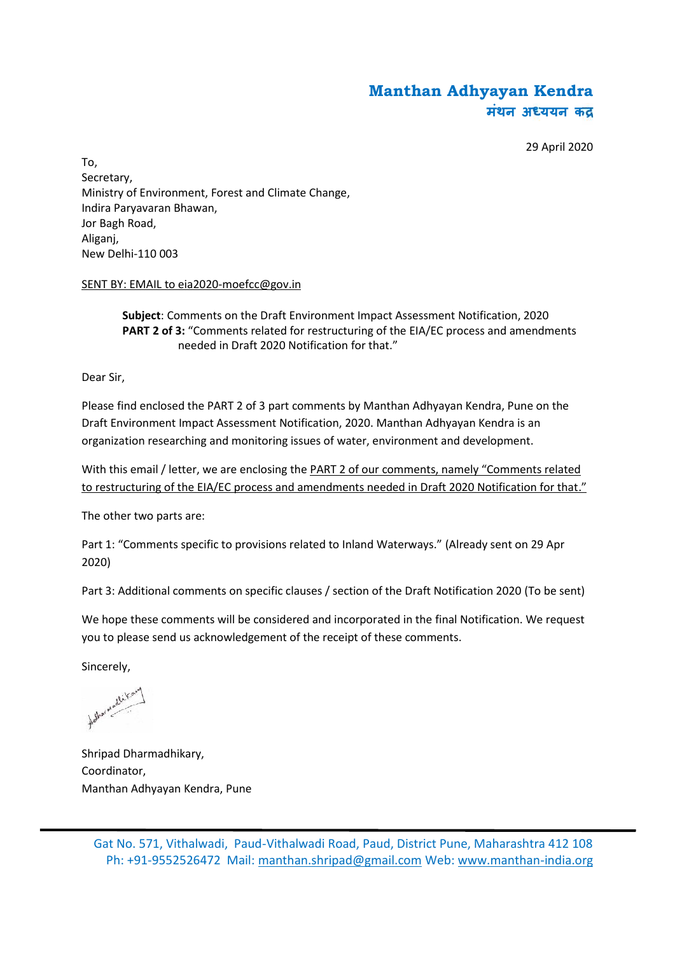# **Manthan Adhyayan Kendra मंथन अ ययन क**

29 April 2020

To, Secretary, Ministry of Environment, Forest and Climate Change, Indira Paryavaran Bhawan, Jor Bagh Road, Aliganj, New Delhi-110 003

### SENT BY: EMAIL to eia2020-moefcc@gov.in

**Subject**: Comments on the Draft Environment Impact Assessment Notification, 2020 **PART 2 of 3:** "Comments related for restructuring of the EIA/EC process and amendments needed in Draft 2020 Notification for that."

Dear Sir,

Please find enclosed the PART 2 of 3 part comments by Manthan Adhyayan Kendra, Pune on the Draft Environment Impact Assessment Notification, 2020. Manthan Adhyayan Kendra is an organization researching and monitoring issues of water, environment and development.

With this email / letter, we are enclosing the PART 2 of our comments, namely "Comments related to restructuring of the EIA/EC process and amendments needed in Draft 2020 Notification for that."

The other two parts are:

Part 1: "Comments specific to provisions related to Inland Waterways." (Already sent on 29 Apr 2020)

Part 3: Additional comments on specific clauses / section of the Draft Notification 2020 (To be sent)

We hope these comments will be considered and incorporated in the final Notification. We request you to please send us acknowledgement of the receipt of these comments.

Sincerely,

talker madlika

Shripad Dharmadhikary, Coordinator, Manthan Adhyayan Kendra, Pune

Gat No. 571, Vithalwadi, Paud-Vithalwadi Road, Paud, District Pune, Maharashtra 412 108 Ph: +91-9552526472 Mail: manthan.shripad@gmail.com Web: www.manthan-india.org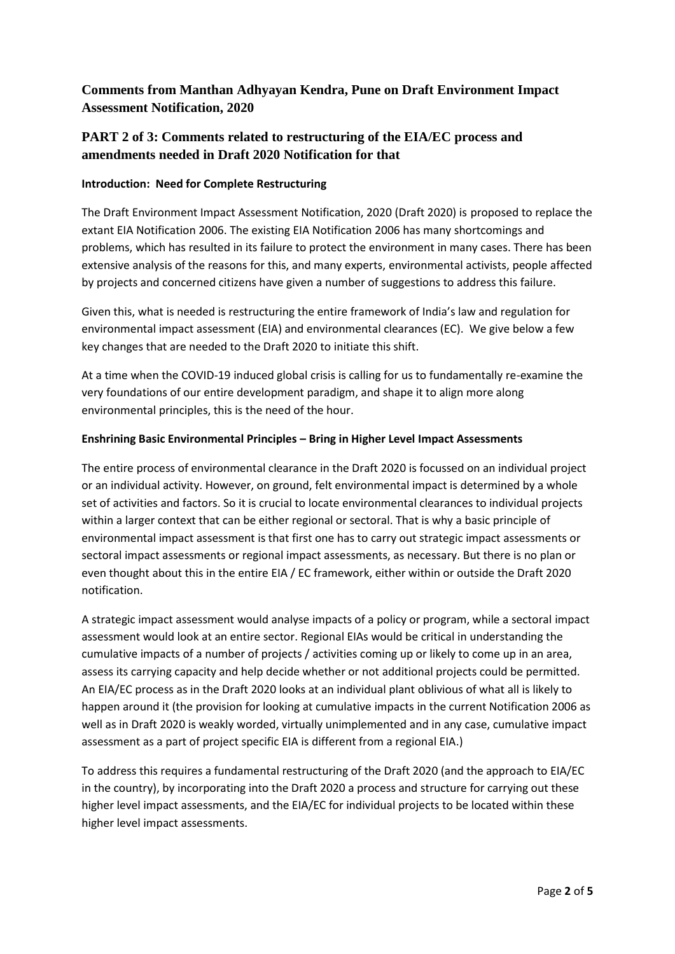# **Comments from Manthan Adhyayan Kendra, Pune on Draft Environment Impact Assessment Notification, 2020**

## **PART 2 of 3: Comments related to restructuring of the EIA/EC process and amendments needed in Draft 2020 Notification for that**

### **Introduction: Need for Complete Restructuring**

The Draft Environment Impact Assessment Notification, 2020 (Draft 2020) is proposed to replace the extant EIA Notification 2006. The existing EIA Notification 2006 has many shortcomings and problems, which has resulted in its failure to protect the environment in many cases. There has been extensive analysis of the reasons for this, and many experts, environmental activists, people affected by projects and concerned citizens have given a number of suggestions to address this failure.

Given this, what is needed is restructuring the entire framework of India's law and regulation for environmental impact assessment (EIA) and environmental clearances (EC). We give below a few key changes that are needed to the Draft 2020 to initiate this shift.

At a time when the COVID-19 induced global crisis is calling for us to fundamentally re-examine the very foundations of our entire development paradigm, and shape it to align more along environmental principles, this is the need of the hour.

### **Enshrining Basic Environmental Principles – Bring in Higher Level Impact Assessments**

The entire process of environmental clearance in the Draft 2020 is focussed on an individual project or an individual activity. However, on ground, felt environmental impact is determined by a whole set of activities and factors. So it is crucial to locate environmental clearances to individual projects within a larger context that can be either regional or sectoral. That is why a basic principle of environmental impact assessment is that first one has to carry out strategic impact assessments or sectoral impact assessments or regional impact assessments, as necessary. But there is no plan or even thought about this in the entire EIA / EC framework, either within or outside the Draft 2020 notification.

A strategic impact assessment would analyse impacts of a policy or program, while a sectoral impact assessment would look at an entire sector. Regional EIAs would be critical in understanding the cumulative impacts of a number of projects / activities coming up or likely to come up in an area, assess its carrying capacity and help decide whether or not additional projects could be permitted. An EIA/EC process as in the Draft 2020 looks at an individual plant oblivious of what all is likely to happen around it (the provision for looking at cumulative impacts in the current Notification 2006 as well as in Draft 2020 is weakly worded, virtually unimplemented and in any case, cumulative impact assessment as a part of project specific EIA is different from a regional EIA.)

To address this requires a fundamental restructuring of the Draft 2020 (and the approach to EIA/EC in the country), by incorporating into the Draft 2020 a process and structure for carrying out these higher level impact assessments, and the EIA/EC for individual projects to be located within these higher level impact assessments.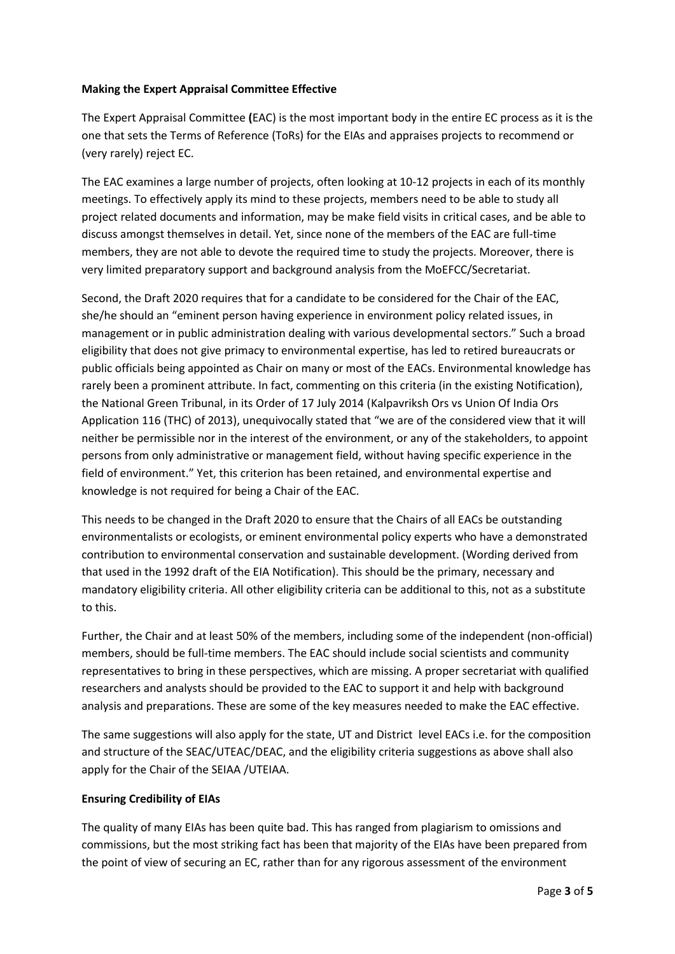#### **Making the Expert Appraisal Committee Effective**

The Expert Appraisal Committee **(**EAC) is the most important body in the entire EC process as it is the one that sets the Terms of Reference (ToRs) for the EIAs and appraises projects to recommend or (very rarely) reject EC.

The EAC examines a large number of projects, often looking at 10-12 projects in each of its monthly meetings. To effectively apply its mind to these projects, members need to be able to study all project related documents and information, may be make field visits in critical cases, and be able to discuss amongst themselves in detail. Yet, since none of the members of the EAC are full-time members, they are not able to devote the required time to study the projects. Moreover, there is very limited preparatory support and background analysis from the MoEFCC/Secretariat.

Second, the Draft 2020 requires that for a candidate to be considered for the Chair of the EAC, she/he should an "eminent person having experience in environment policy related issues, in management or in public administration dealing with various developmental sectors." Such a broad eligibility that does not give primacy to environmental expertise, has led to retired bureaucrats or public officials being appointed as Chair on many or most of the EACs. Environmental knowledge has rarely been a prominent attribute. In fact, commenting on this criteria (in the existing Notification), the National Green Tribunal, in its Order of 17 July 2014 (Kalpavriksh Ors vs Union Of India Ors Application 116 (THC) of 2013), unequivocally stated that "we are of the considered view that it will neither be permissible nor in the interest of the environment, or any of the stakeholders, to appoint persons from only administrative or management field, without having specific experience in the field of environment." Yet, this criterion has been retained, and environmental expertise and knowledge is not required for being a Chair of the EAC.

This needs to be changed in the Draft 2020 to ensure that the Chairs of all EACs be outstanding environmentalists or ecologists, or eminent environmental policy experts who have a demonstrated contribution to environmental conservation and sustainable development. (Wording derived from that used in the 1992 draft of the EIA Notification). This should be the primary, necessary and mandatory eligibility criteria. All other eligibility criteria can be additional to this, not as a substitute to this.

Further, the Chair and at least 50% of the members, including some of the independent (non-official) members, should be full-time members. The EAC should include social scientists and community representatives to bring in these perspectives, which are missing. A proper secretariat with qualified researchers and analysts should be provided to the EAC to support it and help with background analysis and preparations. These are some of the key measures needed to make the EAC effective.

The same suggestions will also apply for the state, UT and District level EACs i.e. for the composition and structure of the SEAC/UTEAC/DEAC, and the eligibility criteria suggestions as above shall also apply for the Chair of the SEIAA /UTEIAA.

### **Ensuring Credibility of EIAs**

The quality of many EIAs has been quite bad. This has ranged from plagiarism to omissions and commissions, but the most striking fact has been that majority of the EIAs have been prepared from the point of view of securing an EC, rather than for any rigorous assessment of the environment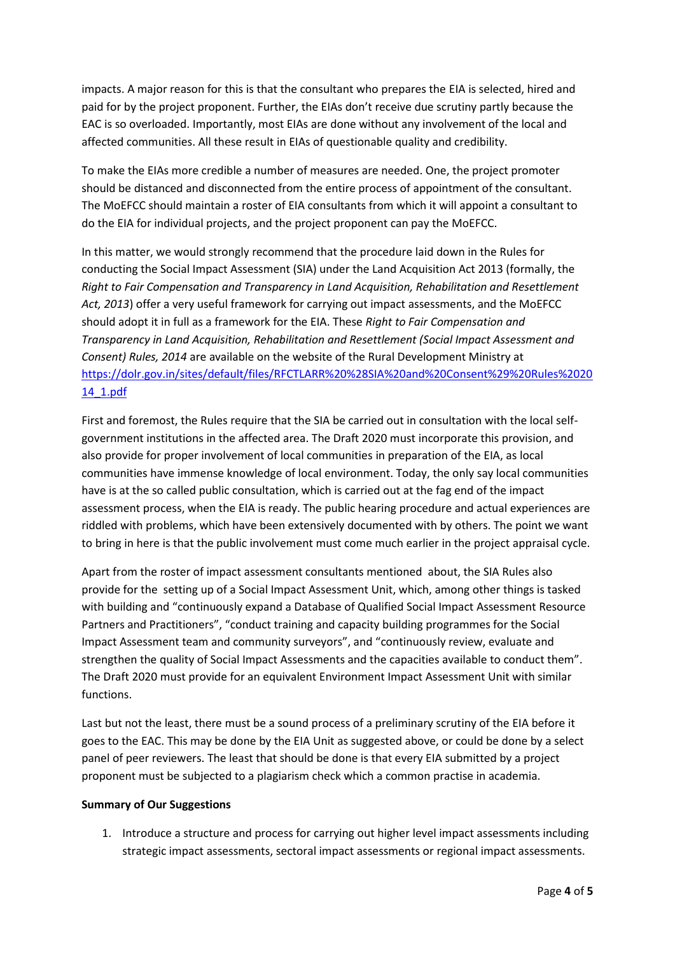impacts. A major reason for this is that the consultant who prepares the EIA is selected, hired and paid for by the project proponent. Further, the EIAs don't receive due scrutiny partly because the EAC is so overloaded. Importantly, most EIAs are done without any involvement of the local and affected communities. All these result in EIAs of questionable quality and credibility.

To make the EIAs more credible a number of measures are needed. One, the project promoter should be distanced and disconnected from the entire process of appointment of the consultant. The MoEFCC should maintain a roster of EIA consultants from which it will appoint a consultant to do the EIA for individual projects, and the project proponent can pay the MoEFCC.

In this matter, we would strongly recommend that the procedure laid down in the Rules for conducting the Social Impact Assessment (SIA) under the Land Acquisition Act 2013 (formally, the *Right to Fair Compensation and Transparency in Land Acquisition, Rehabilitation and Resettlement Act, 2013*) offer a very useful framework for carrying out impact assessments, and the MoEFCC should adopt it in full as a framework for the EIA. These *Right to Fair Compensation and Transparency in Land Acquisition, Rehabilitation and Resettlement (Social Impact Assessment and Consent) Rules, 2014* are available on the website of the Rural Development Ministry at https://dolr.gov.in/sites/default/files/RFCTLARR%20%28SIA%20and%20Consent%29%20Rules%2020 14\_1.pdf

First and foremost, the Rules require that the SIA be carried out in consultation with the local self government institutions in the affected area. The Draft 2020 must incorporate this provision, and also provide for proper involvement of local communities in preparation of the EIA, as local communities have immense knowledge of local environment. Today, the only say local communities have is at the so called public consultation, which is carried out at the fag end of the impact assessment process, when the EIA is ready. The public hearing procedure and actual experiences are riddled with problems, which have been extensively documented with by others. The point we want to bring in here is that the public involvement must come much earlier in the project appraisal cycle.

Apart from the roster of impact assessment consultants mentioned about, the SIA Rules also provide for the setting up of a Social Impact Assessment Unit, which, among other things is tasked with building and "continuously expand a Database of Qualified Social Impact Assessment Resource Partners and Practitioners", "conduct training and capacity building programmes for the Social Impact Assessment team and community surveyors", and "continuously review, evaluate and strengthen the quality of Social Impact Assessments and the capacities available to conduct them". The Draft 2020 must provide for an equivalent Environment Impact Assessment Unit with similar functions.

Last but not the least, there must be a sound process of a preliminary scrutiny of the EIA before it goes to the EAC. This may be done by the EIA Unit as suggested above, or could be done by a select panel of peer reviewers. The least that should be done is that every EIA submitted by a project proponent must be subjected to a plagiarism check which a common practise in academia.

#### **Summary of Our Suggestions**

1. Introduce a structure and process for carrying out higher level impact assessments including strategic impact assessments, sectoral impact assessments or regional impact assessments.